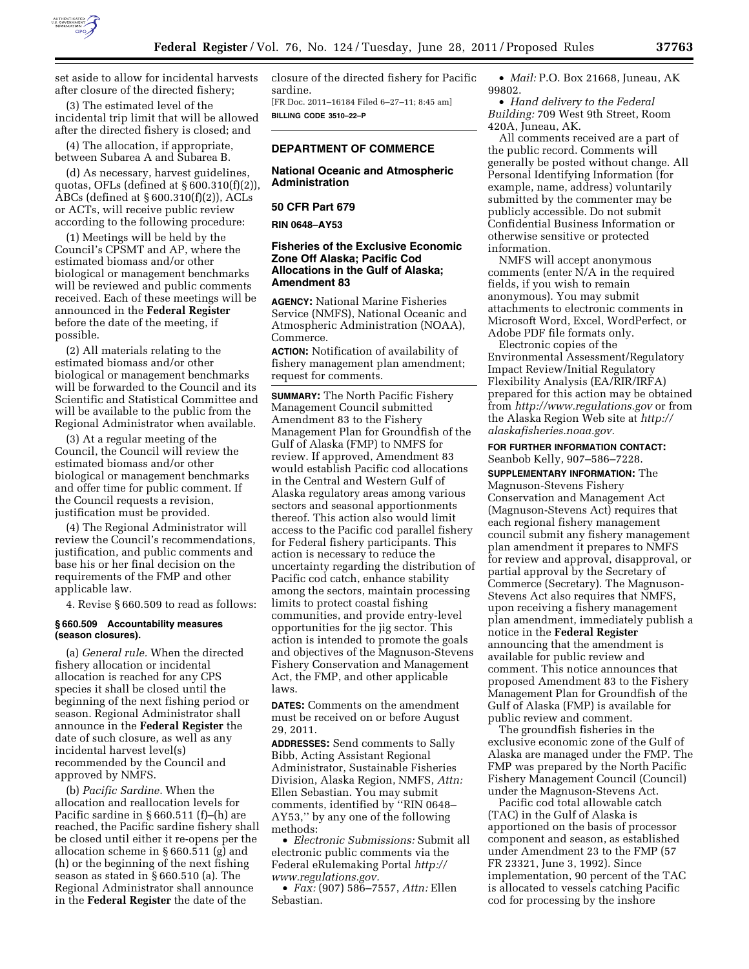

set aside to allow for incidental harvests after closure of the directed fishery;

(3) The estimated level of the incidental trip limit that will be allowed after the directed fishery is closed; and

(4) The allocation, if appropriate, between Subarea A and Subarea B.

(d) As necessary, harvest guidelines, quotas, OFLs (defined at § 600.310(f)(2)), ABCs (defined at § 600.310(f)(2)), ACLs or ACTs, will receive public review according to the following procedure:

(1) Meetings will be held by the Council's CPSMT and AP, where the estimated biomass and/or other biological or management benchmarks will be reviewed and public comments received. Each of these meetings will be announced in the **Federal Register**  before the date of the meeting, if possible.

(2) All materials relating to the estimated biomass and/or other biological or management benchmarks will be forwarded to the Council and its Scientific and Statistical Committee and will be available to the public from the Regional Administrator when available.

(3) At a regular meeting of the Council, the Council will review the estimated biomass and/or other biological or management benchmarks and offer time for public comment. If the Council requests a revision, justification must be provided.

(4) The Regional Administrator will review the Council's recommendations, justification, and public comments and base his or her final decision on the requirements of the FMP and other applicable law.

4. Revise § 660.509 to read as follows:

## **§ 660.509 Accountability measures (season closures).**

(a) *General rule.* When the directed fishery allocation or incidental allocation is reached for any CPS species it shall be closed until the beginning of the next fishing period or season. Regional Administrator shall announce in the **Federal Register** the date of such closure, as well as any incidental harvest level(s) recommended by the Council and approved by NMFS.

(b) *Pacific Sardine.* When the allocation and reallocation levels for Pacific sardine in § 660.511 (f)–(h) are reached, the Pacific sardine fishery shall be closed until either it re-opens per the allocation scheme in § 660.511 (g) and (h) or the beginning of the next fishing season as stated in § 660.510 (a). The Regional Administrator shall announce in the **Federal Register** the date of the

closure of the directed fishery for Pacific sardine. [FR Doc. 2011–16184 Filed 6–27–11; 8:45 am]

**BILLING CODE 3510–22–P** 

# **DEPARTMENT OF COMMERCE**

**National Oceanic and Atmospheric Administration** 

#### **50 CFR Part 679**

**RIN 0648–AY53** 

## **Fisheries of the Exclusive Economic Zone Off Alaska; Pacific Cod Allocations in the Gulf of Alaska; Amendment 83**

**AGENCY:** National Marine Fisheries Service (NMFS), National Oceanic and Atmospheric Administration (NOAA), Commerce.

**ACTION:** Notification of availability of fishery management plan amendment; request for comments.

**SUMMARY:** The North Pacific Fishery Management Council submitted Amendment 83 to the Fishery Management Plan for Groundfish of the Gulf of Alaska (FMP) to NMFS for review. If approved, Amendment 83 would establish Pacific cod allocations in the Central and Western Gulf of Alaska regulatory areas among various sectors and seasonal apportionments thereof. This action also would limit access to the Pacific cod parallel fishery for Federal fishery participants. This action is necessary to reduce the uncertainty regarding the distribution of Pacific cod catch, enhance stability among the sectors, maintain processing limits to protect coastal fishing communities, and provide entry-level opportunities for the jig sector. This action is intended to promote the goals and objectives of the Magnuson-Stevens Fishery Conservation and Management Act, the FMP, and other applicable laws.

**DATES:** Comments on the amendment must be received on or before August 29, 2011.

**ADDRESSES:** Send comments to Sally Bibb, Acting Assistant Regional Administrator, Sustainable Fisheries Division, Alaska Region, NMFS, *Attn:*  Ellen Sebastian. You may submit comments, identified by ''RIN 0648– AY53,'' by any one of the following methods:

• *Electronic Submissions:* Submit all electronic public comments via the Federal eRulemaking Portal *[http://](http://www.regulations.gov) [www.regulations.gov.](http://www.regulations.gov)* 

• *Fax:* (907) 586–7557, *Attn:* Ellen Sebastian.

• *Mail:* P.O. Box 21668, Juneau, AK 99802.

• *Hand delivery to the Federal Building:* 709 West 9th Street, Room 420A, Juneau, AK.

All comments received are a part of the public record. Comments will generally be posted without change. All Personal Identifying Information (for example, name, address) voluntarily submitted by the commenter may be publicly accessible. Do not submit Confidential Business Information or otherwise sensitive or protected information.

NMFS will accept anonymous comments (enter N/A in the required fields, if you wish to remain anonymous). You may submit attachments to electronic comments in Microsoft Word, Excel, WordPerfect, or Adobe PDF file formats only.

Electronic copies of the Environmental Assessment/Regulatory Impact Review/Initial Regulatory Flexibility Analysis (EA/RIR/IRFA) prepared for this action may be obtained from *<http://www.regulations.gov>* or from the Alaska Region Web site at *[http://](http://alaskafisheries.noaa.gov) [alaskafisheries.noaa.gov.](http://alaskafisheries.noaa.gov)* 

**FOR FURTHER INFORMATION CONTACT:** 

Seanbob Kelly, 907–586–7228. **SUPPLEMENTARY INFORMATION:** The

Magnuson-Stevens Fishery Conservation and Management Act (Magnuson-Stevens Act) requires that each regional fishery management council submit any fishery management plan amendment it prepares to NMFS for review and approval, disapproval, or partial approval by the Secretary of Commerce (Secretary). The Magnuson-Stevens Act also requires that NMFS, upon receiving a fishery management plan amendment, immediately publish a notice in the **Federal Register**  announcing that the amendment is available for public review and comment. This notice announces that proposed Amendment 83 to the Fishery Management Plan for Groundfish of the Gulf of Alaska (FMP) is available for public review and comment.

The groundfish fisheries in the exclusive economic zone of the Gulf of Alaska are managed under the FMP. The FMP was prepared by the North Pacific Fishery Management Council (Council) under the Magnuson-Stevens Act.

Pacific cod total allowable catch (TAC) in the Gulf of Alaska is apportioned on the basis of processor component and season, as established under Amendment 23 to the FMP (57 FR 23321, June 3, 1992). Since implementation, 90 percent of the TAC is allocated to vessels catching Pacific cod for processing by the inshore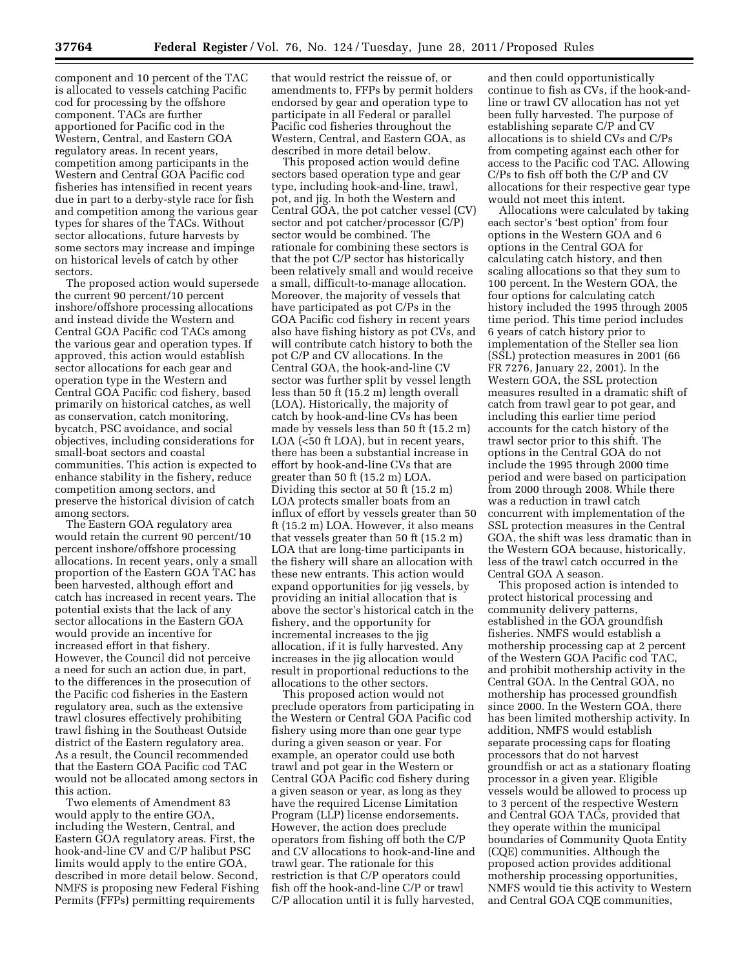component and 10 percent of the TAC is allocated to vessels catching Pacific cod for processing by the offshore component. TACs are further apportioned for Pacific cod in the Western, Central, and Eastern GOA regulatory areas. In recent years, competition among participants in the Western and Central GOA Pacific cod fisheries has intensified in recent years due in part to a derby-style race for fish and competition among the various gear types for shares of the TACs. Without sector allocations, future harvests by some sectors may increase and impinge on historical levels of catch by other sectors.

The proposed action would supersede the current 90 percent/10 percent inshore/offshore processing allocations and instead divide the Western and Central GOA Pacific cod TACs among the various gear and operation types. If approved, this action would establish sector allocations for each gear and operation type in the Western and Central GOA Pacific cod fishery, based primarily on historical catches, as well as conservation, catch monitoring, bycatch, PSC avoidance, and social objectives, including considerations for small-boat sectors and coastal communities. This action is expected to enhance stability in the fishery, reduce competition among sectors, and preserve the historical division of catch among sectors.

The Eastern GOA regulatory area would retain the current 90 percent/10 percent inshore/offshore processing allocations. In recent years, only a small proportion of the Eastern GOA TAC has been harvested, although effort and catch has increased in recent years. The potential exists that the lack of any sector allocations in the Eastern GOA would provide an incentive for increased effort in that fishery. However, the Council did not perceive a need for such an action due, in part, to the differences in the prosecution of the Pacific cod fisheries in the Eastern regulatory area, such as the extensive trawl closures effectively prohibiting trawl fishing in the Southeast Outside district of the Eastern regulatory area. As a result, the Council recommended that the Eastern GOA Pacific cod TAC would not be allocated among sectors in this action.

Two elements of Amendment 83 would apply to the entire GOA, including the Western, Central, and Eastern GOA regulatory areas. First, the hook-and-line CV and C/P halibut PSC limits would apply to the entire GOA, described in more detail below. Second, NMFS is proposing new Federal Fishing Permits (FFPs) permitting requirements

that would restrict the reissue of, or amendments to, FFPs by permit holders endorsed by gear and operation type to participate in all Federal or parallel Pacific cod fisheries throughout the Western, Central, and Eastern GOA, as described in more detail below.

This proposed action would define sectors based operation type and gear type, including hook-and-line, trawl, pot, and jig. In both the Western and Central GOA, the pot catcher vessel (CV) sector and pot catcher/processor (C/P) sector would be combined. The rationale for combining these sectors is that the pot C/P sector has historically been relatively small and would receive a small, difficult-to-manage allocation. Moreover, the majority of vessels that have participated as pot C/Ps in the GOA Pacific cod fishery in recent years also have fishing history as pot CVs, and will contribute catch history to both the pot C/P and CV allocations. In the Central GOA, the hook-and-line CV sector was further split by vessel length less than 50 ft (15.2 m) length overall (LOA). Historically, the majority of catch by hook-and-line CVs has been made by vessels less than 50 ft (15.2 m) LOA (<50 ft LOA), but in recent years, there has been a substantial increase in effort by hook-and-line CVs that are greater than 50 ft (15.2 m) LOA. Dividing this sector at 50 ft (15.2 m) LOA protects smaller boats from an influx of effort by vessels greater than 50 ft (15.2 m) LOA. However, it also means that vessels greater than 50 ft (15.2 m) LOA that are long-time participants in the fishery will share an allocation with these new entrants. This action would expand opportunities for jig vessels, by providing an initial allocation that is above the sector's historical catch in the fishery, and the opportunity for incremental increases to the jig allocation, if it is fully harvested. Any increases in the jig allocation would result in proportional reductions to the allocations to the other sectors.

This proposed action would not preclude operators from participating in the Western or Central GOA Pacific cod fishery using more than one gear type during a given season or year. For example, an operator could use both trawl and pot gear in the Western or Central GOA Pacific cod fishery during a given season or year, as long as they have the required License Limitation Program (LLP) license endorsements. However, the action does preclude operators from fishing off both the C/P and CV allocations to hook-and-line and trawl gear. The rationale for this restriction is that C/P operators could fish off the hook-and-line C/P or trawl C/P allocation until it is fully harvested,

and then could opportunistically continue to fish as CVs, if the hook-andline or trawl CV allocation has not yet been fully harvested. The purpose of establishing separate C/P and CV allocations is to shield CVs and C/Ps from competing against each other for access to the Pacific cod TAC. Allowing C/Ps to fish off both the C/P and CV allocations for their respective gear type would not meet this intent.

Allocations were calculated by taking each sector's 'best option' from four options in the Western GOA and 6 options in the Central GOA for calculating catch history, and then scaling allocations so that they sum to 100 percent. In the Western GOA, the four options for calculating catch history included the 1995 through 2005 time period. This time period includes 6 years of catch history prior to implementation of the Steller sea lion (SSL) protection measures in 2001 (66 FR 7276, January 22, 2001). In the Western GOA, the SSL protection measures resulted in a dramatic shift of catch from trawl gear to pot gear, and including this earlier time period accounts for the catch history of the trawl sector prior to this shift. The options in the Central GOA do not include the 1995 through 2000 time period and were based on participation from 2000 through 2008. While there was a reduction in trawl catch concurrent with implementation of the SSL protection measures in the Central GOA, the shift was less dramatic than in the Western GOA because, historically, less of the trawl catch occurred in the Central GOA A season.

This proposed action is intended to protect historical processing and community delivery patterns, established in the GOA groundfish fisheries. NMFS would establish a mothership processing cap at 2 percent of the Western GOA Pacific cod TAC, and prohibit mothership activity in the Central GOA. In the Central GOA, no mothership has processed groundfish since 2000. In the Western GOA, there has been limited mothership activity. In addition, NMFS would establish separate processing caps for floating processors that do not harvest groundfish or act as a stationary floating processor in a given year. Eligible vessels would be allowed to process up to 3 percent of the respective Western and Central GOA TACs, provided that they operate within the municipal boundaries of Community Quota Entity (CQE) communities. Although the proposed action provides additional mothership processing opportunities, NMFS would tie this activity to Western and Central GOA CQE communities,